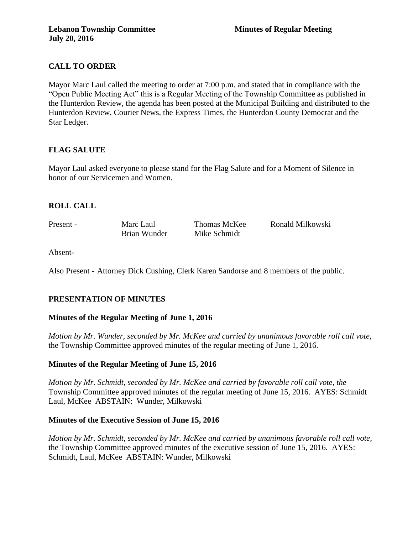# **CALL TO ORDER**

Mayor Marc Laul called the meeting to order at 7:00 p.m. and stated that in compliance with the "Open Public Meeting Act" this is a Regular Meeting of the Township Committee as published in the Hunterdon Review, the agenda has been posted at the Municipal Building and distributed to the Hunterdon Review, Courier News, the Express Times, the Hunterdon County Democrat and the Star Ledger.

## **FLAG SALUTE**

Mayor Laul asked everyone to please stand for the Flag Salute and for a Moment of Silence in honor of our Servicemen and Women.

## **ROLL CALL**

Present - Marc Laul Thomas McKee Ronald Milkowski Brian Wunder Mike Schmidt

Absent-

Also Present - Attorney Dick Cushing, Clerk Karen Sandorse and 8 members of the public.

## **PRESENTATION OF MINUTES**

## **Minutes of the Regular Meeting of June 1, 2016**

*Motion by Mr. Wunder, seconded by Mr. McKee and carried by unanimous favorable roll call vote,* the Township Committee approved minutes of the regular meeting of June 1, 2016.

## **Minutes of the Regular Meeting of June 15, 2016**

*Motion by Mr. Schmidt, seconded by Mr. McKee and carried by favorable roll call vote, the* Township Committee approved minutes of the regular meeting of June 15, 2016. AYES: Schmidt Laul, McKee ABSTAIN: Wunder, Milkowski

### **Minutes of the Executive Session of June 15, 2016**

*Motion by Mr. Schmidt, seconded by Mr. McKee and carried by unanimous favorable roll call vote,* the Township Committee approved minutes of the executive session of June 15, 2016. AYES: Schmidt, Laul, McKee ABSTAIN: Wunder, Milkowski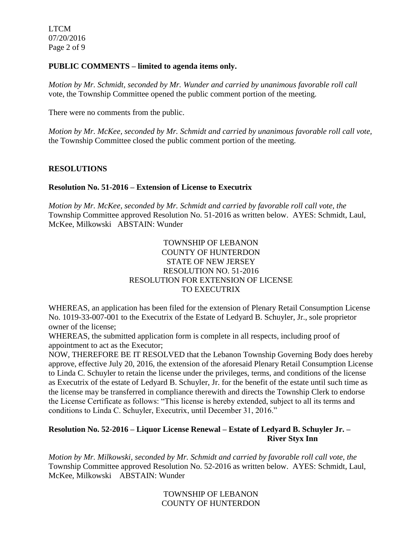LTCM 07/20/2016 Page 2 of 9

#### **PUBLIC COMMENTS – limited to agenda items only.**

*Motion by Mr. Schmidt, seconded by Mr. Wunder and carried by unanimous favorable roll call*  vote, the Township Committee opened the public comment portion of the meeting.

There were no comments from the public.

*Motion by Mr. McKee, seconded by Mr. Schmidt and carried by unanimous favorable roll call vote,* the Township Committee closed the public comment portion of the meeting.

## **RESOLUTIONS**

### **Resolution No. 51-2016 – Extension of License to Executrix**

*Motion by Mr. McKee, seconded by Mr. Schmidt and carried by favorable roll call vote, the* Township Committee approved Resolution No. 51-2016 as written below. AYES: Schmidt, Laul, McKee, Milkowski ABSTAIN: Wunder

## TOWNSHIP OF LEBANON COUNTY OF HUNTERDON STATE OF NEW JERSEY RESOLUTION NO. 51-2016 RESOLUTION FOR EXTENSION OF LICENSE TO EXECUTRIX

WHEREAS, an application has been filed for the extension of Plenary Retail Consumption License No. 1019-33-007-001 to the Executrix of the Estate of Ledyard B. Schuyler, Jr., sole proprietor owner of the license;

WHEREAS, the submitted application form is complete in all respects, including proof of appointment to act as the Executor;

NOW, THEREFORE BE IT RESOLVED that the Lebanon Township Governing Body does hereby approve, effective July 20, 2016, the extension of the aforesaid Plenary Retail Consumption License to Linda C. Schuyler to retain the license under the privileges, terms, and conditions of the license as Executrix of the estate of Ledyard B. Schuyler, Jr. for the benefit of the estate until such time as the license may be transferred in compliance therewith and directs the Township Clerk to endorse the License Certificate as follows: "This license is hereby extended, subject to all its terms and conditions to Linda C. Schuyler, Executrix, until December 31, 2016."

## **Resolution No. 52-2016 – Liquor License Renewal – Estate of Ledyard B. Schuyler Jr. – River Styx Inn**

*Motion by Mr. Milkowski, seconded by Mr. Schmidt and carried by favorable roll call vote, the* Township Committee approved Resolution No. 52-2016 as written below. AYES: Schmidt, Laul, McKee, Milkowski ABSTAIN: Wunder

> TOWNSHIP OF LEBANON COUNTY OF HUNTERDON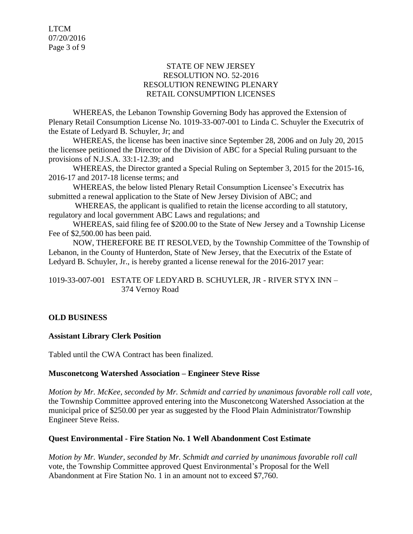LTCM 07/20/2016 Page 3 of 9

### STATE OF NEW JERSEY RESOLUTION NO. 52-2016 RESOLUTION RENEWING PLENARY RETAIL CONSUMPTION LICENSES

WHEREAS, the Lebanon Township Governing Body has approved the Extension of Plenary Retail Consumption License No. 1019-33-007-001 to Linda C. Schuyler the Executrix of the Estate of Ledyard B. Schuyler, Jr; and

WHEREAS, the license has been inactive since September 28, 2006 and on July 20, 2015 the licensee petitioned the Director of the Division of ABC for a Special Ruling pursuant to the provisions of N.J.S.A. 33:1-12.39; and

WHEREAS, the Director granted a Special Ruling on September 3, 2015 for the 2015-16, 2016-17 and 2017-18 license terms; and

WHEREAS, the below listed Plenary Retail Consumption Licensee's Executrix has submitted a renewal application to the State of New Jersey Division of ABC; and

WHEREAS, the applicant is qualified to retain the license according to all statutory, regulatory and local government ABC Laws and regulations; and

WHEREAS, said filing fee of \$200.00 to the State of New Jersey and a Township License Fee of \$2,500.00 has been paid.

NOW, THEREFORE BE IT RESOLVED, by the Township Committee of the Township of Lebanon, in the County of Hunterdon, State of New Jersey, that the Executrix of the Estate of Ledyard B. Schuyler, Jr., is hereby granted a license renewal for the 2016-2017 year:

1019-33-007-001 ESTATE OF LEDYARD B. SCHUYLER, JR - RIVER STYX INN – 374 Vernoy Road

## **OLD BUSINESS**

## **Assistant Library Clerk Position**

Tabled until the CWA Contract has been finalized.

### **Musconetcong Watershed Association – Engineer Steve Risse**

*Motion by Mr. McKee, seconded by Mr. Schmidt and carried by unanimous favorable roll call vote,* the Township Committee approved entering into the Musconetcong Watershed Association at the municipal price of \$250.00 per year as suggested by the Flood Plain Administrator/Township Engineer Steve Reiss.

## **Quest Environmental - Fire Station No. 1 Well Abandonment Cost Estimate**

*Motion by Mr. Wunder, seconded by Mr. Schmidt and carried by unanimous favorable roll call*  vote, the Township Committee approved Quest Environmental's Proposal for the Well Abandonment at Fire Station No. 1 in an amount not to exceed \$7,760.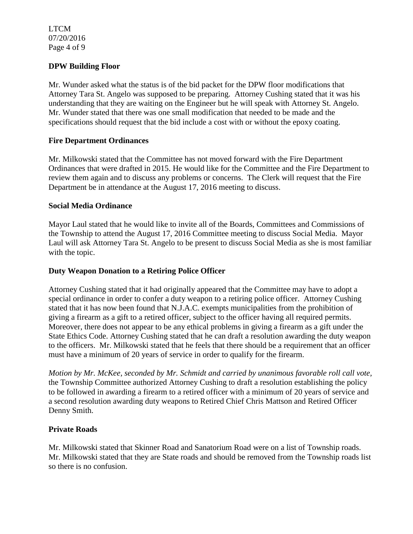LTCM 07/20/2016 Page 4 of 9

## **DPW Building Floor**

Mr. Wunder asked what the status is of the bid packet for the DPW floor modifications that Attorney Tara St. Angelo was supposed to be preparing. Attorney Cushing stated that it was his understanding that they are waiting on the Engineer but he will speak with Attorney St. Angelo. Mr. Wunder stated that there was one small modification that needed to be made and the specifications should request that the bid include a cost with or without the epoxy coating.

## **Fire Department Ordinances**

Mr. Milkowski stated that the Committee has not moved forward with the Fire Department Ordinances that were drafted in 2015. He would like for the Committee and the Fire Department to review them again and to discuss any problems or concerns. The Clerk will request that the Fire Department be in attendance at the August 17, 2016 meeting to discuss.

### **Social Media Ordinance**

Mayor Laul stated that he would like to invite all of the Boards, Committees and Commissions of the Township to attend the August 17, 2016 Committee meeting to discuss Social Media. Mayor Laul will ask Attorney Tara St. Angelo to be present to discuss Social Media as she is most familiar with the topic.

## **Duty Weapon Donation to a Retiring Police Officer**

Attorney Cushing stated that it had originally appeared that the Committee may have to adopt a special ordinance in order to confer a duty weapon to a retiring police officer. Attorney Cushing stated that it has now been found that N.J.A.C. exempts municipalities from the prohibition of giving a firearm as a gift to a retired officer, subject to the officer having all required permits. Moreover, there does not appear to be any ethical problems in giving a firearm as a gift under the State Ethics Code. Attorney Cushing stated that he can draft a resolution awarding the duty weapon to the officers. Mr. Milkowski stated that he feels that there should be a requirement that an officer must have a minimum of 20 years of service in order to qualify for the firearm.

*Motion by Mr. McKee, seconded by Mr. Schmidt and carried by unanimous favorable roll call vote,* the Township Committee authorized Attorney Cushing to draft a resolution establishing the policy to be followed in awarding a firearm to a retired officer with a minimum of 20 years of service and a second resolution awarding duty weapons to Retired Chief Chris Mattson and Retired Officer Denny Smith.

### **Private Roads**

Mr. Milkowski stated that Skinner Road and Sanatorium Road were on a list of Township roads. Mr. Milkowski stated that they are State roads and should be removed from the Township roads list so there is no confusion.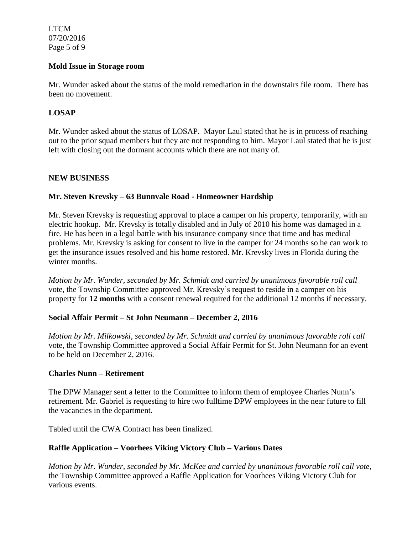LTCM 07/20/2016 Page 5 of 9

### **Mold Issue in Storage room**

Mr. Wunder asked about the status of the mold remediation in the downstairs file room. There has been no movement.

### **LOSAP**

Mr. Wunder asked about the status of LOSAP. Mayor Laul stated that he is in process of reaching out to the prior squad members but they are not responding to him. Mayor Laul stated that he is just left with closing out the dormant accounts which there are not many of.

### **NEW BUSINESS**

### **Mr. Steven Krevsky – 63 Bunnvale Road - Homeowner Hardship**

Mr. Steven Krevsky is requesting approval to place a camper on his property, temporarily, with an electric hookup. Mr. Krevsky is totally disabled and in July of 2010 his home was damaged in a fire. He has been in a legal battle with his insurance company since that time and has medical problems. Mr. Krevsky is asking for consent to live in the camper for 24 months so he can work to get the insurance issues resolved and his home restored. Mr. Krevsky lives in Florida during the winter months.

*Motion by Mr. Wunder, seconded by Mr. Schmidt and carried by unanimous favorable roll call*  vote, the Township Committee approved Mr. Krevsky's request to reside in a camper on his property for **12 months** with a consent renewal required for the additional 12 months if necessary.

### **Social Affair Permit – St John Neumann – December 2, 2016**

*Motion by Mr. Milkowski, seconded by Mr. Schmidt and carried by unanimous favorable roll call*  vote, the Township Committee approved a Social Affair Permit for St. John Neumann for an event to be held on December 2, 2016.

### **Charles Nunn – Retirement**

The DPW Manager sent a letter to the Committee to inform them of employee Charles Nunn's retirement. Mr. Gabriel is requesting to hire two fulltime DPW employees in the near future to fill the vacancies in the department.

Tabled until the CWA Contract has been finalized.

### **Raffle Application – Voorhees Viking Victory Club – Various Dates**

*Motion by Mr. Wunder, seconded by Mr. McKee and carried by unanimous favorable roll call vote,* the Township Committee approved a Raffle Application for Voorhees Viking Victory Club for various events.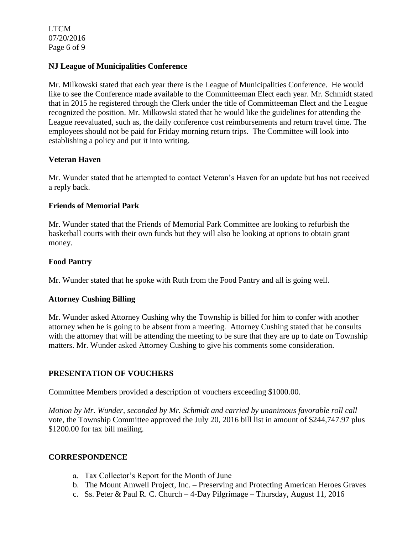LTCM 07/20/2016 Page 6 of 9

### **NJ League of Municipalities Conference**

Mr. Milkowski stated that each year there is the League of Municipalities Conference. He would like to see the Conference made available to the Committeeman Elect each year. Mr. Schmidt stated that in 2015 he registered through the Clerk under the title of Committeeman Elect and the League recognized the position. Mr. Milkowski stated that he would like the guidelines for attending the League reevaluated, such as, the daily conference cost reimbursements and return travel time. The employees should not be paid for Friday morning return trips. The Committee will look into establishing a policy and put it into writing.

## **Veteran Haven**

Mr. Wunder stated that he attempted to contact Veteran's Haven for an update but has not received a reply back.

## **Friends of Memorial Park**

Mr. Wunder stated that the Friends of Memorial Park Committee are looking to refurbish the basketball courts with their own funds but they will also be looking at options to obtain grant money.

## **Food Pantry**

Mr. Wunder stated that he spoke with Ruth from the Food Pantry and all is going well.

### **Attorney Cushing Billing**

Mr. Wunder asked Attorney Cushing why the Township is billed for him to confer with another attorney when he is going to be absent from a meeting. Attorney Cushing stated that he consults with the attorney that will be attending the meeting to be sure that they are up to date on Township matters. Mr. Wunder asked Attorney Cushing to give his comments some consideration.

### **PRESENTATION OF VOUCHERS**

Committee Members provided a description of vouchers exceeding \$1000.00.

*Motion by Mr. Wunder, seconded by Mr. Schmidt and carried by unanimous favorable roll call*  vote, the Township Committee approved the July 20, 2016 bill list in amount of \$244,747.97 plus \$1200.00 for tax bill mailing.

### **CORRESPONDENCE**

- a. Tax Collector's Report for the Month of June
- b. The Mount Amwell Project, Inc. Preserving and Protecting American Heroes Graves
- c. Ss. Peter & Paul R. C. Church 4-Day Pilgrimage Thursday, August 11, 2016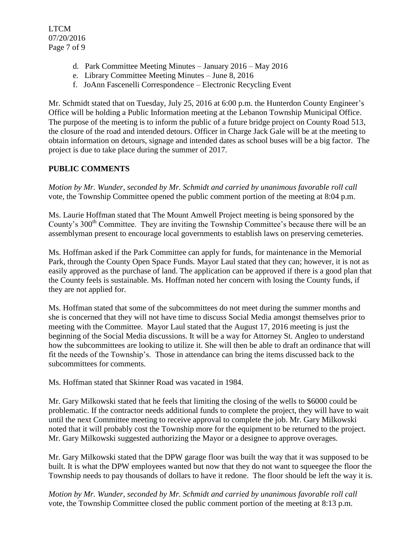- d. Park Committee Meeting Minutes January 2016 May 2016
- e. Library Committee Meeting Minutes June 8, 2016
- f. JoAnn Fascenelli Correspondence Electronic Recycling Event

Mr. Schmidt stated that on Tuesday, July 25, 2016 at 6:00 p.m. the Hunterdon County Engineer's Office will be holding a Public Information meeting at the Lebanon Township Municipal Office. The purpose of the meeting is to inform the public of a future bridge project on County Road 513, the closure of the road and intended detours. Officer in Charge Jack Gale will be at the meeting to obtain information on detours, signage and intended dates as school buses will be a big factor. The project is due to take place during the summer of 2017.

# **PUBLIC COMMENTS**

*Motion by Mr. Wunder, seconded by Mr. Schmidt and carried by unanimous favorable roll call*  vote, the Township Committee opened the public comment portion of the meeting at 8:04 p.m.

Ms. Laurie Hoffman stated that The Mount Amwell Project meeting is being sponsored by the County's 300<sup>th</sup> Committee. They are inviting the Township Committee's because there will be an assemblyman present to encourage local governments to establish laws on preserving cemeteries.

Ms. Hoffman asked if the Park Committee can apply for funds, for maintenance in the Memorial Park, through the County Open Space Funds. Mayor Laul stated that they can; however, it is not as easily approved as the purchase of land. The application can be approved if there is a good plan that the County feels is sustainable. Ms. Hoffman noted her concern with losing the County funds, if they are not applied for.

Ms. Hoffman stated that some of the subcommittees do not meet during the summer months and she is concerned that they will not have time to discuss Social Media amongst themselves prior to meeting with the Committee. Mayor Laul stated that the August 17, 2016 meeting is just the beginning of the Social Media discussions. It will be a way for Attorney St. Angleo to understand how the subcommittees are looking to utilize it. She will then be able to draft an ordinance that will fit the needs of the Township's. Those in attendance can bring the items discussed back to the subcommittees for comments.

Ms. Hoffman stated that Skinner Road was vacated in 1984.

Mr. Gary Milkowski stated that he feels that limiting the closing of the wells to \$6000 could be problematic. If the contractor needs additional funds to complete the project, they will have to wait until the next Committee meeting to receive approval to complete the job. Mr. Gary Milkowski noted that it will probably cost the Township more for the equipment to be returned to the project. Mr. Gary Milkowski suggested authorizing the Mayor or a designee to approve overages.

Mr. Gary Milkowski stated that the DPW garage floor was built the way that it was supposed to be built. It is what the DPW employees wanted but now that they do not want to squeegee the floor the Township needs to pay thousands of dollars to have it redone. The floor should be left the way it is.

*Motion by Mr. Wunder, seconded by Mr. Schmidt and carried by unanimous favorable roll call* vote, the Township Committee closed the public comment portion of the meeting at 8:13 p.m.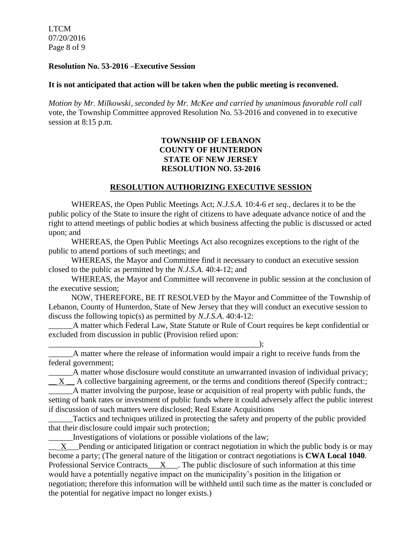LTCM 07/20/2016 Page 8 of 9

#### **Resolution No. 53-2016 –Executive Session**

#### **It is not anticipated that action will be taken when the public meeting is reconvened.**

*Motion by Mr. Milkowski, seconded by Mr. McKee and carried by unanimous favorable roll call*  vote, the Township Committee approved Resolution No. 53-2016 and convened in to executive session at 8:15 p.m.

## **TOWNSHIP OF LEBANON COUNTY OF HUNTERDON STATE OF NEW JERSEY RESOLUTION NO. 53-2016**

#### **RESOLUTION AUTHORIZING EXECUTIVE SESSION**

WHEREAS, the Open Public Meetings Act; *N.J.S.A.* 10:4-6 *et seq*., declares it to be the public policy of the State to insure the right of citizens to have adequate advance notice of and the right to attend meetings of public bodies at which business affecting the public is discussed or acted upon; and

WHEREAS, the Open Public Meetings Act also recognizes exceptions to the right of the public to attend portions of such meetings; and

WHEREAS, the Mayor and Committee find it necessary to conduct an executive session closed to the public as permitted by the *N.J.S.A*. 40:4-12; and

WHEREAS, the Mayor and Committee will reconvene in public session at the conclusion of the executive session;

NOW, THEREFORE, BE IT RESOLVED by the Mayor and Committee of the Township of Lebanon, County of Hunterdon, State of New Jersey that they will conduct an executive session to discuss the following topic(s) as permitted by *N.J.S.A*. 40:4-12:

A matter which Federal Law, State Statute or Rule of Court requires be kept confidential or excluded from discussion in public (Provision relied upon:

\_\_\_\_\_\_\_\_\_\_\_\_\_\_\_\_\_\_\_\_\_\_\_\_\_\_\_\_\_\_\_\_\_\_\_\_\_\_\_\_\_\_\_\_\_\_\_\_\_\_\_\_); A matter where the release of information would impair a right to receive funds from the federal government;

\_\_\_\_\_\_A matter whose disclosure would constitute an unwarranted invasion of individual privacy;  $\overline{X}$   $\overline{X}$   $\overline{X}$  a collective bargaining agreement, or the terms and conditions thereof (Specify contract:; \_\_\_\_\_\_A matter involving the purpose, lease or acquisition of real property with public funds, the

setting of bank rates or investment of public funds where it could adversely affect the public interest if discussion of such matters were disclosed; Real Estate Acquisitions

\_\_\_\_\_\_Tactics and techniques utilized in protecting the safety and property of the public provided that their disclosure could impair such protection;

\_\_\_\_\_\_Investigations of violations or possible violations of the law;

X Pending or anticipated litigation or contract negotiation in which the public body is or may become a party; (The general nature of the litigation or contract negotiations is **CWA Local 1040**. Professional Service Contracts $\underline{X}$ . The public disclosure of such information at this time would have a potentially negative impact on the municipality's position in the litigation or negotiation; therefore this information will be withheld until such time as the matter is concluded or the potential for negative impact no longer exists.)